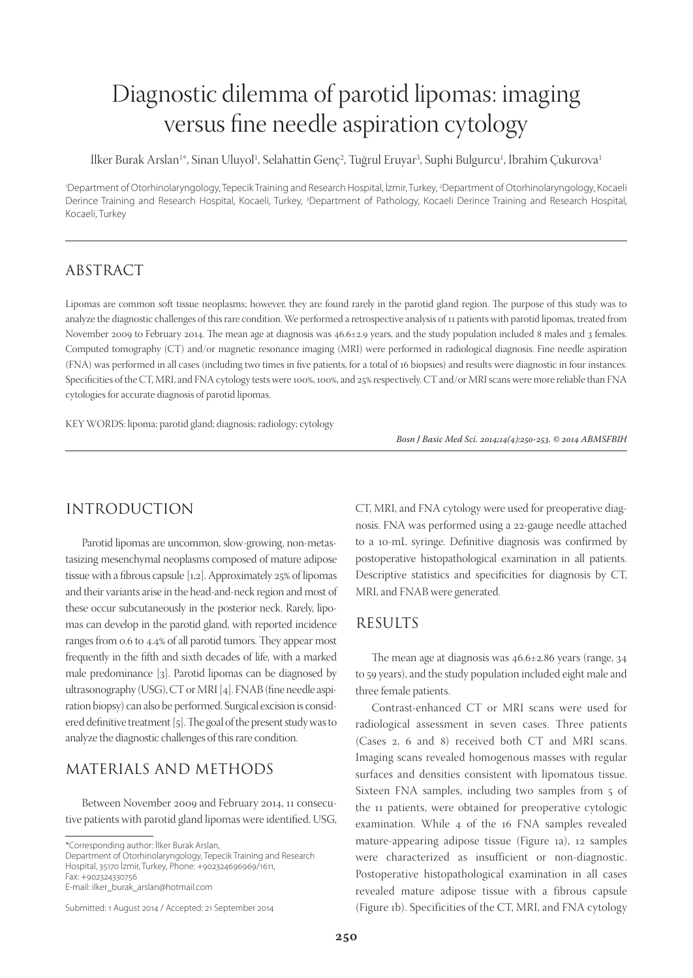# Diagnostic dilemma of parotid lipomas: imaging versus fine needle aspiration cytology

İlker Burak Arslan<sup>ı</sup>\*, Sinan Uluyol<sup>ı</sup>, Selahattin Genç<sup>2</sup>, Tuğrul Eruyar<sup>3</sup>, Suphi Bulgurcu<sup>ı</sup>, İbrahim Çukurova<sup>ı</sup>

1 Department of Otorhinolaryngology, Tepecik Training and Research Hospital, İzmir, Turkey, 2 Department of Otorhinolaryngology, Kocaeli Derince Training and Research Hospital, Kocaeli, Turkey, <sup>3</sup>Department of Pathology, Kocaeli Derince Training and Research Hospital, Kocaeli, Turkey

## ABSTRACT

Lipomas are common soft tissue neoplasms; however, they are found rarely in the parotid gland region. The purpose of this study was to analyze the diagnostic challenges of this rare condition. We performed a retrospective analysis of 11 patients with parotid lipomas, treated from November 2009 to February 2014. The mean age at diagnosis was 46.6±2.9 years, and the study population included 8 males and 3 females. Computed tomography (CT) and/or magnetic resonance imaging (MRI) were performed in radiological diagnosis. Fine needle aspiration (FNA) was performed in all cases (including two times in five patients, for a total of 16 biopsies) and results were diagnostic in four instances. Specificities of the CT, MRI, and FNA cytology tests were 100%, 100%, and 25% respectively. CT and/or MRI scans were more reliable than FNA cytologies for accurate diagnosis of parotid lipomas.

KEY WORDS: lipoma; parotid gland; diagnosis; radiology; cytology

Bosn J Basic Med Sci. 2014;14(4):250-253. © 2014 ABMSFBIH

# INTRODUCTION

Parotid lipomas are uncommon, slow-growing, non-metastasizing mesenchymal neoplasms composed of mature adipose tissue with a fibrous capsule  $[1,2]$ . Approximately 25% of lipomas and their variants arise in the head-and-neck region and most of these occur subcutaneously in the posterior neck. Rarely, lipomas can develop in the parotid gland, with reported incidence ranges from 0.6 to 4.4% of all parotid tumors. They appear most frequently in the fifth and sixth decades of life, with a marked male predominance [3]. Parotid lipomas can be diagnosed by ultrasonography (USG), CT or MRI [4]. FNAB (fine needle aspiration biopsy) can also be performed. Surgical excision is considered definitive treatment [5]. The goal of the present study was to analyze the diagnostic challenges of this rare condition.

# MATERIALS AND METHODS

Between November 2009 and February 2014, 11 consecutive patients with parotid gland lipomas were identified. USG,

E-mail: ilker\_burak\_arslan@hotmail.com

Submitted: 1 August 2014 / Accepted: 21 September 2014

CT, MRI, and FNA cytology were used for preoperative diagnosis. FNA was performed using a 22-gauge needle attached to a 10-mL syringe. Definitive diagnosis was confirmed by postoperative histopathological examination in all patients. Descriptive statistics and specificities for diagnosis by CT, MRI, and FNAB were generated.

#### RESULTS

The mean age at diagnosis was  $46.6 \pm 2.86$  years (range, 34 to 59 years), and the study population included eight male and three female patients.

Contrast-enhanced CT or MRI scans were used for radiological assessment in seven cases. Three patients (Cases 2, 6 and 8) received both CT and MRI scans. Imaging scans revealed homogenous masses with regular surfaces and densities consistent with lipomatous tissue. Sixteen FNA samples, including two samples from 5 of the 11 patients, were obtained for preoperative cytologic examination. While 4 of the 16 FNA samples revealed mature-appearing adipose tissue (Figure 1a), 12 samples were characterized as insufficient or non-diagnostic. Postoperative histopathological examination in all cases revealed mature adipose tissue with a fibrous capsule (Figure 1b). Specificities of the CT, MRI, and FNA cytology

<sup>\*</sup>Corresponding author: İlker Burak Arslan,

Department of Otorhinolaryngology, Tepecik Training and Research Hospital, 35170 İzmir, Turkey, Phone: +902324696969/1611, Fax: +902324330756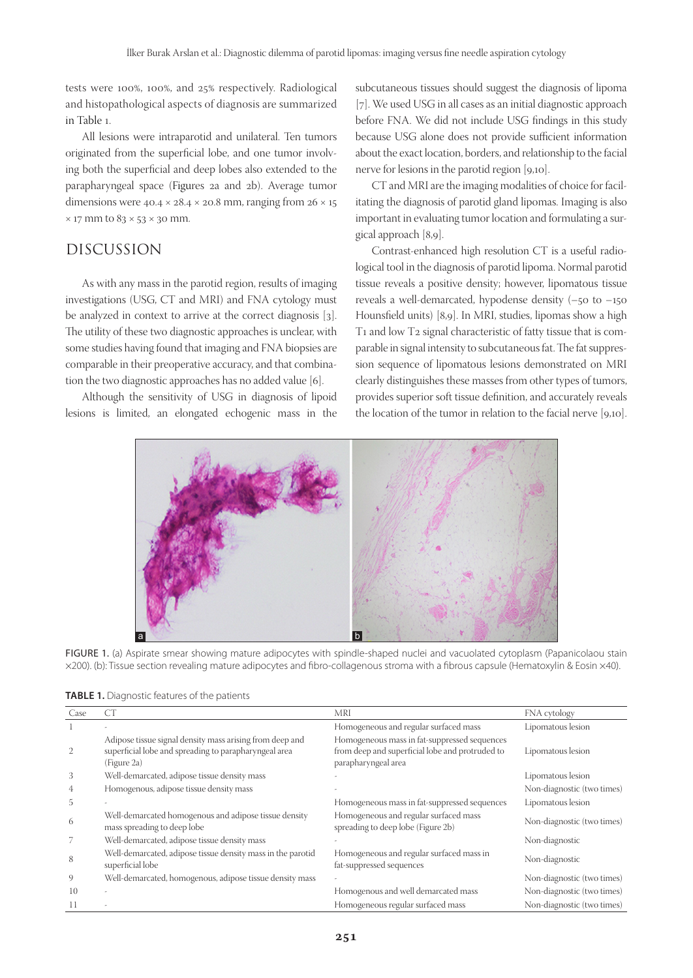tests were 100%, 100%, and  $25%$  respectively. Radiological and histopathological aspects of diagnosis are summarized in Table 1.

All lesions were intraparotid and unilateral. Ten tumors originated from the superficial lobe, and one tumor involving both the superficial and deep lobes also extended to the parapharyngeal space (Figures 2a and 2b). Average tumor dimensions were  $40.4 \times 28.4 \times 20.8$  mm, ranging from  $26 \times 15$  $\times$  17 mm to 83  $\times$  53  $\times$  30 mm.

# DISCUSSION

As with any mass in the parotid region, results of imaging investigations (USG, CT and MRI) and FNA cytology must be analyzed in context to arrive at the correct diagnosis [3]. The utility of these two diagnostic approaches is unclear, with some studies having found that imaging and FNA biopsies are comparable in their preoperative accuracy, and that combination the two diagnostic approaches has no added value [6].

Although the sensitivity of USG in diagnosis of lipoid lesions is limited, an elongated echogenic mass in the subcutaneous tissues should suggest the diagnosis of lipoma [7]. We used USG in all cases as an initial diagnostic approach before FNA. We did not include USG findings in this study because USG alone does not provide sufficient information about the exact location, borders, and relationship to the facial nerve for lesions in the parotid region [9,10].

CT and MRI are the imaging modalities of choice for facilitating the diagnosis of parotid gland lipomas. Imaging is also important in evaluating tumor location and formulating a surgical approach [8,9].

Contrast-enhanced high resolution CT is a useful radiological tool in the diagnosis of parotid lipoma. Normal parotid tissue reveals a positive density; however, lipomatous tissue reveals a well-demarcated, hypodense density (–50 to –150 Hounsfield units) [8,9]. In MRI, studies, lipomas show a high T1 and low T2 signal characteristic of fatty tissue that is comparable in signal intensity to subcutaneous fat. The fat suppression sequence of lipomatous lesions demonstrated on MRI clearly distinguishes these masses from other types of tumors, provides superior soft tissue definition, and accurately reveals the location of the tumor in relation to the facial nerve [9,10].



FIGURE 1. (a) Aspirate smear showing mature adipocytes with spindle-shaped nuclei and vacuolated cytoplasm (Papanicolaou stain ×200). (b): Tissue section revealing mature adipocytes and fibro-collagenous stroma with a fibrous capsule (Hematoxylin & Eosin ×40).

| TABLE 1. Diagnostic features of the patients |  |  |
|----------------------------------------------|--|--|
|                                              |  |  |

| Case | CT                                                                                                                               | <b>MRI</b>                                                                                                             | FNA cytology               |
|------|----------------------------------------------------------------------------------------------------------------------------------|------------------------------------------------------------------------------------------------------------------------|----------------------------|
| 1    |                                                                                                                                  | Homogeneous and regular surfaced mass                                                                                  | Lipomatous lesion          |
| 2    | Adipose tissue signal density mass arising from deep and<br>superficial lobe and spreading to parapharyngeal area<br>(Figure 2a) | Homogeneous mass in fat-suppressed sequences<br>from deep and superficial lobe and protruded to<br>parapharyngeal area | Lipomatous lesion          |
| 3    | Well-demarcated, adipose tissue density mass                                                                                     |                                                                                                                        | Lipomatous lesion          |
| 4    | Homogenous, adipose tissue density mass                                                                                          |                                                                                                                        | Non-diagnostic (two times) |
| 5    |                                                                                                                                  | Homogeneous mass in fat-suppressed sequences                                                                           | Lipomatous lesion          |
| 6    | Well-demarcated homogenous and adipose tissue density<br>mass spreading to deep lobe                                             | Homogeneous and regular surfaced mass<br>spreading to deep lobe (Figure 2b)                                            | Non-diagnostic (two times) |
|      | Well-demarcated, adipose tissue density mass                                                                                     |                                                                                                                        | Non-diagnostic             |
| 8    | Well-demarcated, adipose tissue density mass in the parotid<br>superficial lobe                                                  | Homogeneous and regular surfaced mass in<br>fat-suppressed sequences                                                   | Non-diagnostic             |
| 9    | Well-demarcated, homogenous, adipose tissue density mass                                                                         |                                                                                                                        | Non-diagnostic (two times) |
| 10   |                                                                                                                                  | Homogenous and well demarcated mass                                                                                    | Non-diagnostic (two times) |
| 11   |                                                                                                                                  | Homogeneous regular surfaced mass                                                                                      | Non-diagnostic (two times) |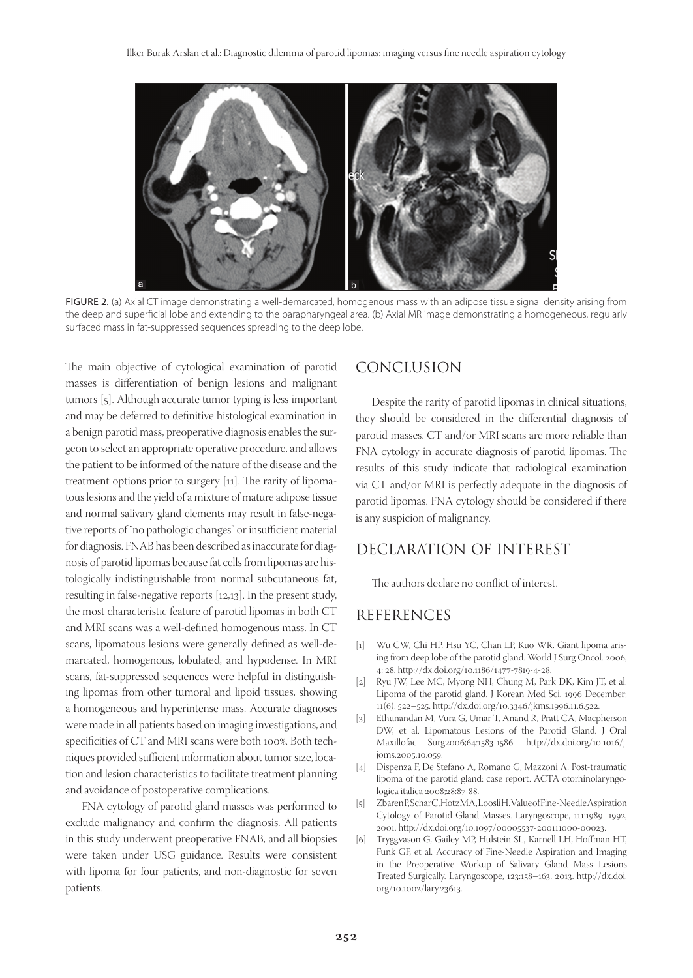

FIGURE 2. (a) Axial CT image demonstrating a well-demarcated, homogenous mass with an adipose tissue signal density arising from the deep and superficial lobe and extending to the parapharyngeal area. (b) Axial MR image demonstrating a homogeneous, regularly surfaced mass in fat-suppressed sequences spreading to the deep lobe.

The main objective of cytological examination of parotid masses is differentiation of benign lesions and malignant tumors [5]. Although accurate tumor typing is less important and may be deferred to definitive histological examination in a benign parotid mass, preoperative diagnosis enables the surgeon to select an appropriate operative procedure, and allows the patient to be informed of the nature of the disease and the treatment options prior to surgery  $\lceil n \rceil$ . The rarity of lipomatous lesions and the yield of a mixture of mature adipose tissue and normal salivary gland elements may result in false-negative reports of "no pathologic changes" or insufficient material for diagnosis. FNAB has been described as inaccurate for diagnosis of parotid lipomas because fat cells from lipomas are histologically indistinguishable from normal subcutaneous fat, resulting in false-negative reports [12,13]. In the present study, the most characteristic feature of parotid lipomas in both CT and MRI scans was a well-defined homogenous mass. In CT scans, lipomatous lesions were generally defined as well-demarcated, homogenous, lobulated, and hypodense. In MRI scans, fat-suppressed sequences were helpful in distinguishing lipomas from other tumoral and lipoid tissues, showing a homogeneous and hyperintense mass. Accurate diagnoses were made in all patients based on imaging investigations, and specificities of CT and MRI scans were both 100%. Both techniques provided sufficient information about tumor size, location and lesion characteristics to facilitate treatment planning and avoidance of postoperative complications.

FNA cytology of parotid gland masses was performed to exclude malignancy and confirm the diagnosis. All patients in this study underwent preoperative FNAB, and all biopsies were taken under USG guidance. Results were consistent with lipoma for four patients, and non-diagnostic for seven patients.

## CONCLUSION

Despite the rarity of parotid lipomas in clinical situations, they should be considered in the differential diagnosis of parotid masses. CT and/or MRI scans are more reliable than FNA cytology in accurate diagnosis of parotid lipomas. The results of this study indicate that radiological examination via CT and/or MRI is perfectly adequate in the diagnosis of parotid lipomas. FNA cytology should be considered if there is any suspicion of malignancy.

# DECLARATION OF INTEREST

The authors declare no conflict of interest.

#### REFERENCES

- [1] Wu CW, Chi HP, Hsu YC, Chan LP, Kuo WR. Giant lipoma arising from deep lobe of the parotid gland. World J Surg Oncol. 2006; 4: 28. http://dx.doi.org/10.1186/1477-7819-4-28.
- [2] Ryu JW, Lee MC, Myong NH, Chung M, Park DK, Kim JT, et al. Lipoma of the parotid gland. J Korean Med Sci. 1996 December; 11(6): 522–525. http://dx.doi.org/10.3346/jkms.1996.11.6.522.
- [3] Ethunandan M, Vura G, Umar T, Anand R, Pratt CA, Macpherson DW, et al. Lipomatous Lesions of the Parotid Gland. J Oral Maxillofac Surg2006;64:1583-1586. http://dx.doi.org/10.1016/j. joms.2005.10.059.
- [4] Dispenza F, De Stefano A, Romano G, Mazzoni A. Post-traumatic lipoma of the parotid gland: case report. ACTA otorhinolaryngologica italica 2008;28:87-88.
- [5] Zbaren P, Schar C, Hotz MA, Loosli H. Value of Fine-Needle Aspiration Cytology of Parotid Gland Masses. Laryngoscope, 111:1989–1992, 2001. http://dx.doi.org/10.1097/00005537-200111000-00023.
- [6] Tryggvason G, Gailey MP, Hulstein SL, Karnell LH, Hoffman HT, Funk GF, et al. Accuracy of Fine-Needle Aspiration and Imaging in the Preoperative Workup of Salivary Gland Mass Lesions Treated Surgically. Laryngoscope, 123:158–163, 2013. http://dx.doi. org/10.1002/lary.23613.